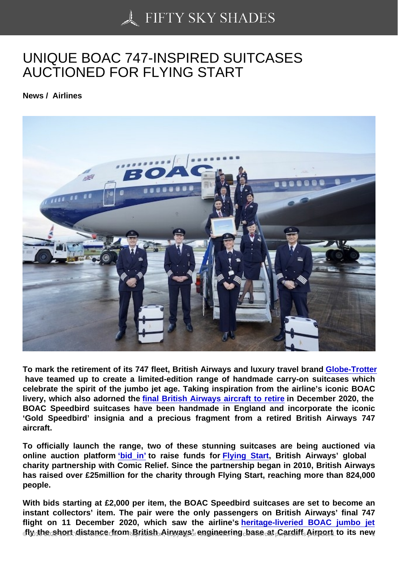## [UNIQUE BOAC 747-IN](https://50skyshades.com)SPIRED SUITCASES AUCTIONED FOR FLYING START

News / Airlines

To mark the retirement of its 747 fleet, British Airways and luxury travel brand Globe-Trotter have teamed up to create a limited-edition range of handmade carry-on suitcases which celebrate the spirit of the jumbo jet age. Taking inspiration from the airline's iconic BOAC livery, which also adorned the final British Airways aircraft to retire in Decem[ber 2020, the](https://www.globe-trotter.com/)  BOAC Speedbird suitcases have been handmade in England and incorporate the iconic 'Gold Speedbird' insignia and a precious fragment from a retired British Airways 747 aircraft.

To officially launch the range, two of these stunning suitcases are being auctioned via online auction platform 'bid\_in' to raise funds for Flying Start, British Airways' global charity partnership with Comic Relief. Since the partnership began in 2010, British Airways has raised over £25million for the charity through Flying Start, reaching more than 824,000 people.

With bids starting at £2,000 per item, the BOAC Speedbird suitcases are set to become an instant collectors' item. The pair were the only passengers on British Airways' final 747 flight on 11 December 2020, which saw the airline's heritage-liveried BOAC jumbo jet  $f_1$  of the short distance from British Airways' engineering base at Cardiff Airport to its new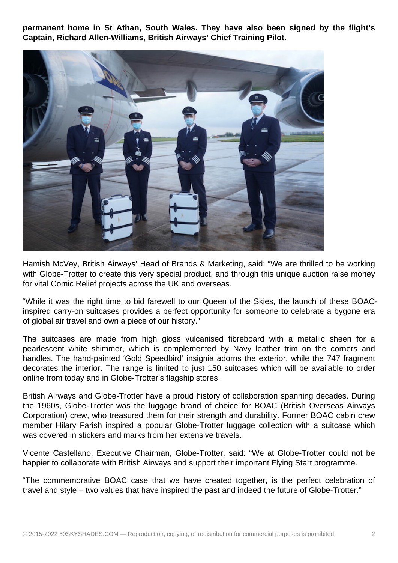**permanent home in St Athan, South Wales. They have also been signed by the flight's Captain, Richard Allen-Williams, British Airways' Chief Training Pilot.**



Hamish McVey, British Airways' Head of Brands & Marketing, said: "We are thrilled to be working with Globe-Trotter to create this very special product, and through this unique auction raise money for vital Comic Relief projects across the UK and overseas.

"While it was the right time to bid farewell to our Queen of the Skies, the launch of these BOACinspired carry-on suitcases provides a perfect opportunity for someone to celebrate a bygone era of global air travel and own a piece of our history."

The suitcases are made from high gloss vulcanised fibreboard with a metallic sheen for a pearlescent white shimmer, which is complemented by Navy leather trim on the corners and handles. The hand-painted 'Gold Speedbird' insignia adorns the exterior, while the 747 fragment decorates the interior. The range is limited to just 150 suitcases which will be available to order online from today and in Globe-Trotter's flagship stores.

British Airways and Globe-Trotter have a proud history of collaboration spanning decades. During the 1960s, Globe-Trotter was the luggage brand of choice for BOAC (British Overseas Airways Corporation) crew, who treasured them for their strength and durability. Former BOAC cabin crew member Hilary Farish inspired a popular Globe-Trotter luggage collection with a suitcase which was covered in stickers and marks from her extensive travels.

Vicente Castellano, Executive Chairman, Globe-Trotter, said: "We at Globe-Trotter could not be happier to collaborate with British Airways and support their important Flying Start programme.

"The commemorative BOAC case that we have created together, is the perfect celebration of travel and style – two values that have inspired the past and indeed the future of Globe-Trotter."